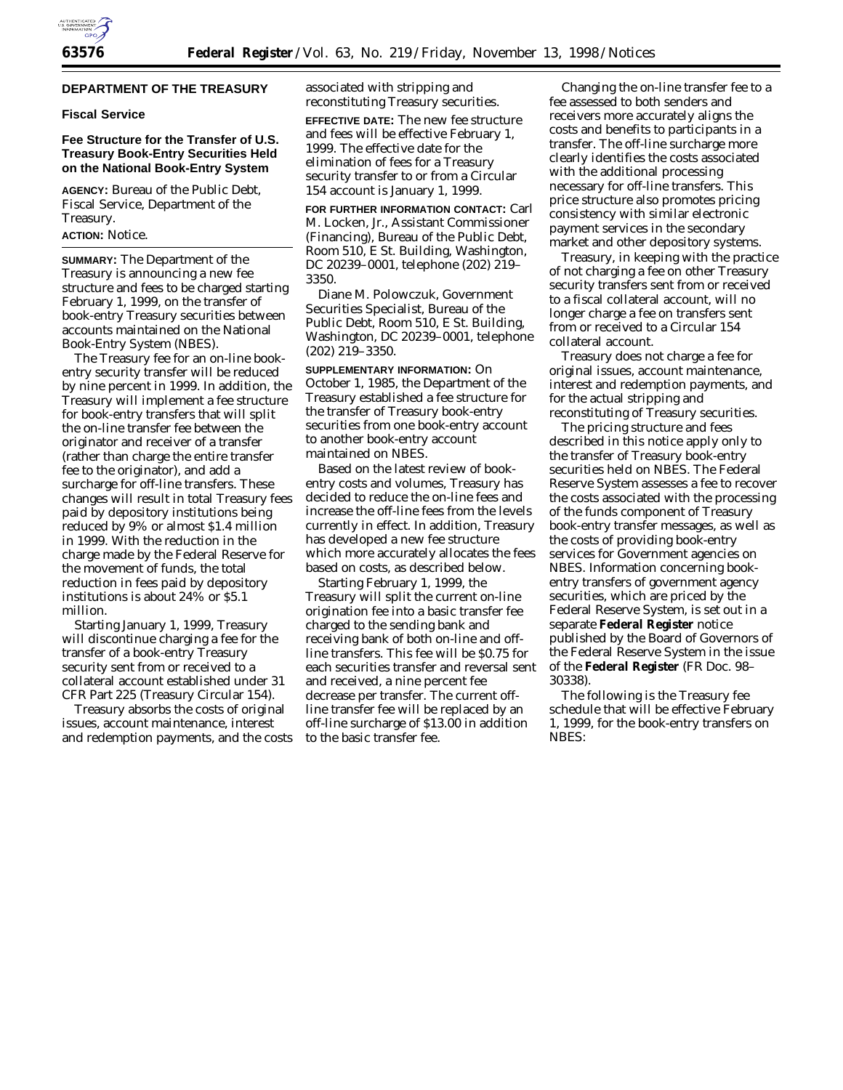

## **DEPARTMENT OF THE TREASURY**

#### **Fiscal Service**

### **Fee Structure for the Transfer of U.S. Treasury Book-Entry Securities Held on the National Book-Entry System**

**AGENCY:** Bureau of the Public Debt, Fiscal Service, Department of the Treasury.

#### **ACTION:** Notice.

**SUMMARY:** The Department of the Treasury is announcing a new fee structure and fees to be charged starting February 1, 1999, on the transfer of book-entry Treasury securities between accounts maintained on the National Book-Entry System (NBES).

The Treasury fee for an on-line bookentry security transfer will be reduced by nine percent in 1999. In addition, the Treasury will implement a fee structure for book-entry transfers that will split the on-line transfer fee between the originator and receiver of a transfer (rather than charge the entire transfer fee to the originator), and add a surcharge for off-line transfers. These changes will result in total Treasury fees paid by depository institutions being reduced by 9% or almost \$1.4 million in 1999. With the reduction in the charge made by the Federal Reserve for the movement of funds, the total reduction in fees paid by depository institutions is about 24% or \$5.1 million.

Starting January 1, 1999, Treasury will discontinue charging a fee for the transfer of a book-entry Treasury security sent from or received to a collateral account established under 31 CFR Part 225 (Treasury Circular 154).

Treasury absorbs the costs of original issues, account maintenance, interest and redemption payments, and the costs associated with stripping and reconstituting Treasury securities.

**EFFECTIVE DATE:** The new fee structure and fees will be effective February 1, 1999. The effective date for the elimination of fees for a Treasury security transfer to or from a Circular 154 account is January 1, 1999.

**FOR FURTHER INFORMATION CONTACT:** Carl M. Locken, Jr., Assistant Commissioner (Financing), Bureau of the Public Debt, Room 510, E St. Building, Washington, DC 20239–0001, telephone (202) 219– 3350.

Diane M. Polowczuk, Government Securities Specialist, Bureau of the Public Debt, Room 510, E St. Building, Washington, DC 20239–0001, telephone (202) 219–3350.

**SUPPLEMENTARY INFORMATION:** On October 1, 1985, the Department of the Treasury established a fee structure for the transfer of Treasury book-entry securities from one book-entry account to another book-entry account maintained on NBES.

Based on the latest review of bookentry costs and volumes, Treasury has decided to reduce the on-line fees and increase the off-line fees from the levels currently in effect. In addition, Treasury has developed a new fee structure which more accurately allocates the fees based on costs, as described below.

Starting February 1, 1999, the Treasury will split the current on-line origination fee into a basic transfer fee charged to the sending bank and receiving bank of both on-line and offline transfers. This fee will be \$0.75 for each securities transfer and reversal sent and received, a nine percent fee decrease per transfer. The current offline transfer fee will be replaced by an off-line surcharge of \$13.00 in addition to the basic transfer fee.

Changing the on-line transfer fee to a fee assessed to both senders and receivers more accurately aligns the costs and benefits to participants in a transfer. The off-line surcharge more clearly identifies the costs associated with the additional processing necessary for off-line transfers. This price structure also promotes pricing consistency with similar electronic payment services in the secondary market and other depository systems.

Treasury, in keeping with the practice of not charging a fee on other Treasury security transfers sent from or received to a fiscal collateral account, will no longer charge a fee on transfers sent from or received to a Circular 154 collateral account.

Treasury does not charge a fee for original issues, account maintenance, interest and redemption payments, and for the actual stripping and reconstituting of Treasury securities.

The pricing structure and fees described in this notice apply only to the transfer of Treasury book-entry securities held on NBES. The Federal Reserve System assesses a fee to recover the costs associated with the processing of the funds component of Treasury book-entry transfer messages, as well as the costs of providing book-entry services for Government agencies on NBES. Information concerning bookentry transfers of government agency securities, which are priced by the Federal Reserve System, is set out in a separate **Federal Register** notice published by the Board of Governors of the Federal Reserve System in the issue of the **Federal Register** (FR Doc. 98– 30338).

The following is the Treasury fee schedule that will be effective February 1, 1999, for the book-entry transfers on NBES: